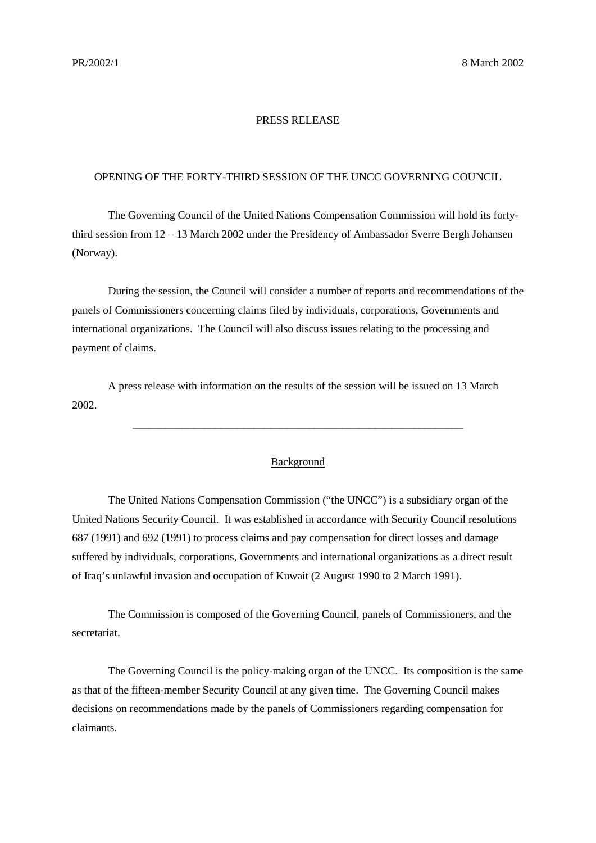## PRESS RELEASE

## OPENING OF THE FORTY-THIRD SESSION OF THE UNCC GOVERNING COUNCIL

The Governing Council of the United Nations Compensation Commission will hold its fortythird session from 12 – 13 March 2002 under the Presidency of Ambassador Sverre Bergh Johansen (Norway).

During the session, the Council will consider a number of reports and recommendations of the panels of Commissioners concerning claims filed by individuals, corporations, Governments and international organizations. The Council will also discuss issues relating to the processing and payment of claims.

A press release with information on the results of the session will be issued on 13 March 2002.

## Background

\_\_\_\_\_\_\_\_\_\_\_\_\_\_\_\_\_\_\_\_\_\_\_\_\_\_\_\_\_\_\_\_\_\_\_\_\_\_\_\_\_\_\_\_\_\_\_\_\_\_\_\_\_\_\_\_\_\_\_\_

The United Nations Compensation Commission ("the UNCC") is a subsidiary organ of the United Nations Security Council. It was established in accordance with Security Council resolutions 687 (1991) and 692 (1991) to process claims and pay compensation for direct losses and damage suffered by individuals, corporations, Governments and international organizations as a direct result of Iraq's unlawful invasion and occupation of Kuwait (2 August 1990 to 2 March 1991).

The Commission is composed of the Governing Council, panels of Commissioners, and the secretariat.

The Governing Council is the policy-making organ of the UNCC. Its composition is the same as that of the fifteen-member Security Council at any given time. The Governing Council makes decisions on recommendations made by the panels of Commissioners regarding compensation for claimants.